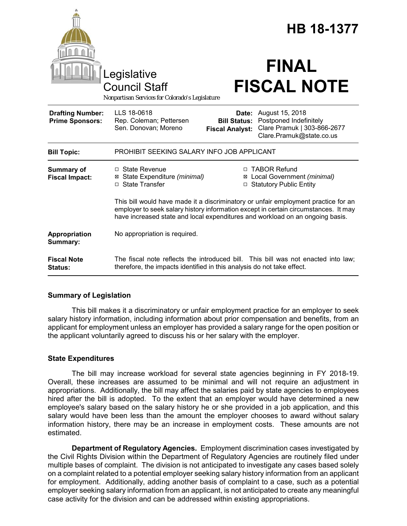|                                                   | egislative<br><b>Council Staff</b><br>Nonpartisan Services for Colorado's Legislature                                                                                                                                                                      |                                               | <b>HB 18-1377</b><br><b>FINAL</b><br><b>FISCAL NOTE</b>                                                           |  |
|---------------------------------------------------|------------------------------------------------------------------------------------------------------------------------------------------------------------------------------------------------------------------------------------------------------------|-----------------------------------------------|-------------------------------------------------------------------------------------------------------------------|--|
| <b>Drafting Number:</b><br><b>Prime Sponsors:</b> | LLS 18-0618<br>Rep. Coleman; Pettersen<br>Sen. Donovan; Moreno                                                                                                                                                                                             | <b>Bill Status:</b><br><b>Fiscal Analyst:</b> | <b>Date:</b> August 15, 2018<br>Postponed Indefinitely<br>Clare Pramuk   303-866-2677<br>Clare.Pramuk@state.co.us |  |
| <b>Bill Topic:</b>                                | PROHIBIT SEEKING SALARY INFO JOB APPLICANT                                                                                                                                                                                                                 |                                               |                                                                                                                   |  |
| <b>Summary of</b><br><b>Fiscal Impact:</b>        | $\Box$ State Revenue<br>⊠ State Expenditure (minimal)<br>□ State Transfer                                                                                                                                                                                  |                                               | □ TABOR Refund<br>⊠ Local Government (minimal)<br>□ Statutory Public Entity                                       |  |
|                                                   | This bill would have made it a discriminatory or unfair employment practice for an<br>employer to seek salary history information except in certain circumstances. It may<br>have increased state and local expenditures and workload on an ongoing basis. |                                               |                                                                                                                   |  |
| Appropriation<br>Summary:                         | No appropriation is required.                                                                                                                                                                                                                              |                                               |                                                                                                                   |  |
| <b>Fiscal Note</b><br>Status:                     | therefore, the impacts identified in this analysis do not take effect.                                                                                                                                                                                     |                                               | The fiscal note reflects the introduced bill. This bill was not enacted into law;                                 |  |

## **Summary of Legislation**

This bill makes it a discriminatory or unfair employment practice for an employer to seek salary history information, including information about prior compensation and benefits, from an applicant for employment unless an employer has provided a salary range for the open position or the applicant voluntarily agreed to discuss his or her salary with the employer.

# **State Expenditures**

The bill may increase workload for several state agencies beginning in FY 2018-19. Overall, these increases are assumed to be minimal and will not require an adjustment in appropriations. Additionally, the bill may affect the salaries paid by state agencies to employees hired after the bill is adopted. To the extent that an employer would have determined a new employee's salary based on the salary history he or she provided in a job application, and this salary would have been less than the amount the employer chooses to award without salary information history, there may be an increase in employment costs. These amounts are not estimated.

**Department of Regulatory Agencies.** Employment discrimination cases investigated by the Civil Rights Division within the Department of Regulatory Agencies are routinely filed under multiple bases of complaint. The division is not anticipated to investigate any cases based solely on a complaint related to a potential employer seeking salary history information from an applicant for employment. Additionally, adding another basis of complaint to a case, such as a potential employer seeking salary information from an applicant, is not anticipated to create any meaningful case activity for the division and can be addressed within existing appropriations.